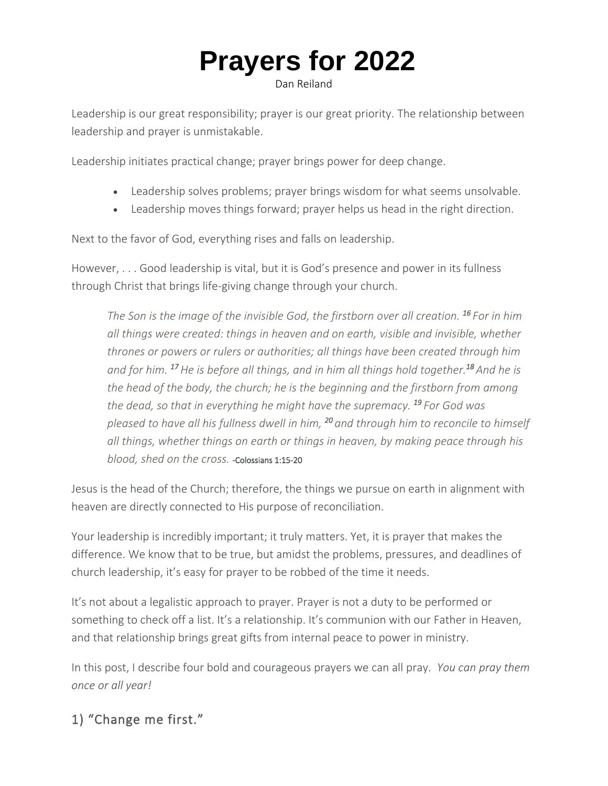# **[Prayers for 2022](https://danreiland.com/4-bold-and-courageous-prayers-for-2022/)**

Dan Reiland

Leadership is our great responsibility; prayer is our great priority. The relationship between leadership and prayer is unmistakable.

Leadership initiates practical change; prayer brings power for deep change.

- Leadership solves problems; prayer brings wisdom for what seems unsolvable.
- Leadership moves things forward; prayer helps us head in the right direction.

Next to the favor of God, everything rises and falls on leadership.

However, . . . Good leadership is vital, but it is God's presence and power in its fullness through Christ that brings life-giving change through your church.

*The Son is the image of the invisible God, the firstborn over all creation. <sup>16</sup> For in him all things were created: things in heaven and on earth, visible and invisible, whether thrones or powers or rulers or authorities; all things have been created through him* and for him. <sup>17</sup> He is before all things, and in him all things hold together.<sup>18</sup> And he is *the head of the body, the church; he is the beginning and the firstborn from among the dead, so that in everything he might have the supremacy. <sup>19</sup> For God was pleased to have all his fullness dwell in him, <sup>20</sup>and through him to reconcile to himself all things, whether things on earth or things in heaven, by making peace through his blood, shed on the cross.* -Colossians 1:15-20

Jesus is the head of the Church; therefore, the things we pursue on earth in alignment with heaven are directly connected to His purpose of reconciliation.

Your leadership is incredibly important; it truly matters. Yet, it is prayer that makes the difference. We know that to be true, but amidst the problems, pressures, and deadlines of church leadership, it's easy for prayer to be robbed of the time it needs.

It's not about a legalistic approach to prayer. Prayer is not a duty to be performed or something to check off a list. It's a relationship. It's communion with our Father in Heaven, and that relationship brings great gifts from internal peace to power in ministry.

In this post, I describe four bold and courageous prayers we can all pray. *You can pray them once or all year!*

## 1) "Change me first."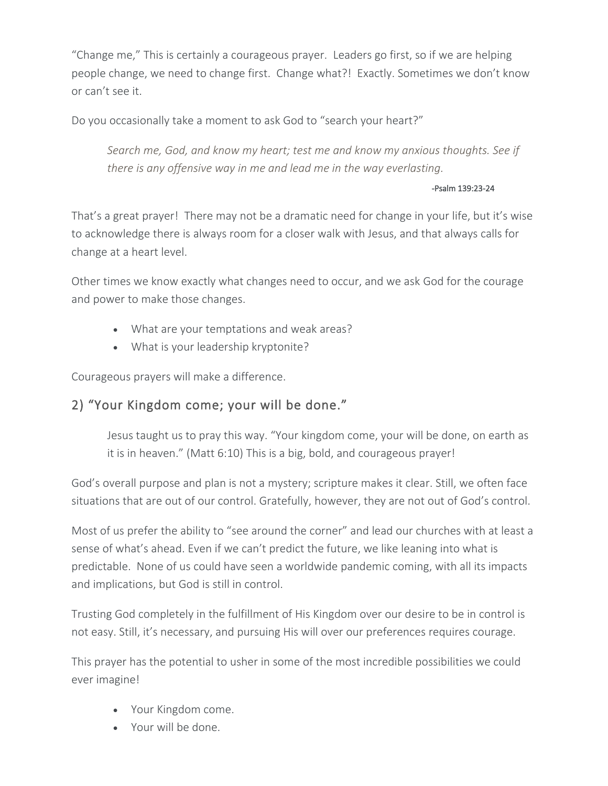"Change me," This is certainly a courageous prayer. Leaders go first, so if we are helping people change, we need to change first. Change what?! Exactly. Sometimes we don't know or can't see it.

Do you occasionally take a moment to ask God to "search your heart?"

*Search me, God, and know my heart; test me and know my anxious thoughts. See if there is any offensive way in me and lead me in the way everlasting.*

#### -Psalm 139:23-24

That's a great prayer! There may not be a dramatic need for change in your life, but it's wise to acknowledge there is always room for a closer walk with Jesus, and that always calls for change at a heart level.

Other times we know exactly what changes need to occur, and we ask God for the courage and power to make those changes.

- What are your temptations and weak areas?
- What is your leadership kryptonite?

Courageous prayers will make a difference.

### 2) "Your Kingdom come; your will be done."

Jesus taught us to pray this way. "Your kingdom come, your will be done, on earth as it is in heaven." (Matt 6:10) This is a big, bold, and courageous prayer!

God's overall purpose and plan is not a mystery; scripture makes it clear. Still, we often face situations that are out of our control. Gratefully, however, they are not out of God's control.

Most of us prefer the ability to "see around the corner" and lead our churches with at least a sense of what's ahead. Even if we can't predict the future, we like leaning into what is predictable. None of us could have seen a worldwide pandemic coming, with all its impacts and implications, but God is still in control.

Trusting God completely in the fulfillment of His Kingdom over our desire to be in control is not easy. Still, it's necessary, and pursuing His will over our preferences requires courage.

This prayer has the potential to usher in some of the most incredible possibilities we could ever imagine!

- Your Kingdom come.
- Your will be done.